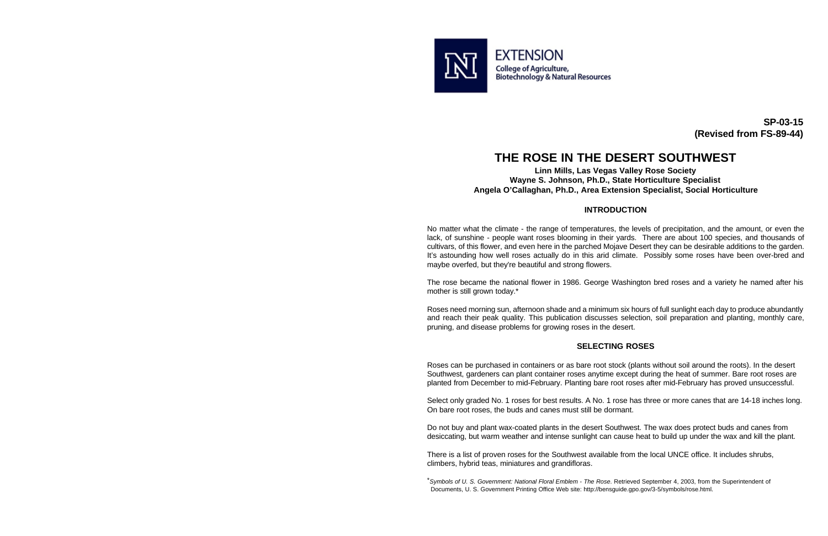

**SP-03-15 (Revised from FS-89-44)** 

# **THE ROSE IN THE DESERT SOUTHWEST**

#### **Linn Mills, Las Vegas Valley Rose Society Wayne S. Johnson, Ph.D., State Horticulture Specialist Angela O'Callaghan, Ph.D., Area Extension Specialist, Social Horticulture**

#### **INTRODUCTION**

No matter what the climate - the range of temperatures, the levels of precipitation, and the amount, or even the lack, of sunshine - people want roses blooming in their yards. There are about 100 species, and thousands of cultivars, of this flower, and even here in the parched Mojave Desert they can be desirable additions to the garden. It's astounding how well roses actually do in this arid climate. Possibly some roses have been over-bred and maybe overfed, but they're beautiful and strong flowers.

The rose became the national flower in 1986. George Washington bred roses and a variety he named after his mother is still grown today.\*

Roses need morning sun, afternoon shade and a minimum six hours of full sunlight each day to produce abundantly and reach their peak quality. This publication discusses selection, soil preparation and planting, monthly care, pruning, and disease problems for growing roses in the desert.

#### **SELECTING ROSES**

Roses can be purchased in containers or as bare root stock (plants without soil around the roots). In the desert Southwest, gardeners can plant container roses anytime except during the heat of summer. Bare root roses are planted from December to mid-February. Planting bare root roses after mid-February has proved unsuccessful.

Select only graded No. 1 roses for best results. A No. 1 rose has three or more canes that are 14-18 inches long. On bare root roses, the buds and canes must still be dormant.

Do not buy and plant wax-coated plants in the desert Southwest. The wax does protect buds and canes from desiccating, but warm weather and intense sunlight can cause heat to build up under the wax and kill the plant.

There is a list of proven roses for the Southwest available from the local UNCE office. It includes shrubs, climbers, hybrid teas, miniatures and grandifloras.

<sup>\*</sup>*Symbols of U. S. Government: National Floral Emblem - The Rose*. Retrieved September 4, 2003, from the Superintendent of Documents, U. S. Government Printing Office Web site: [http://bensguide.gpo.gov/3-5/symbols/rose.html.](http://bensguide.gpo.gov/3-5/symbols/rose.html)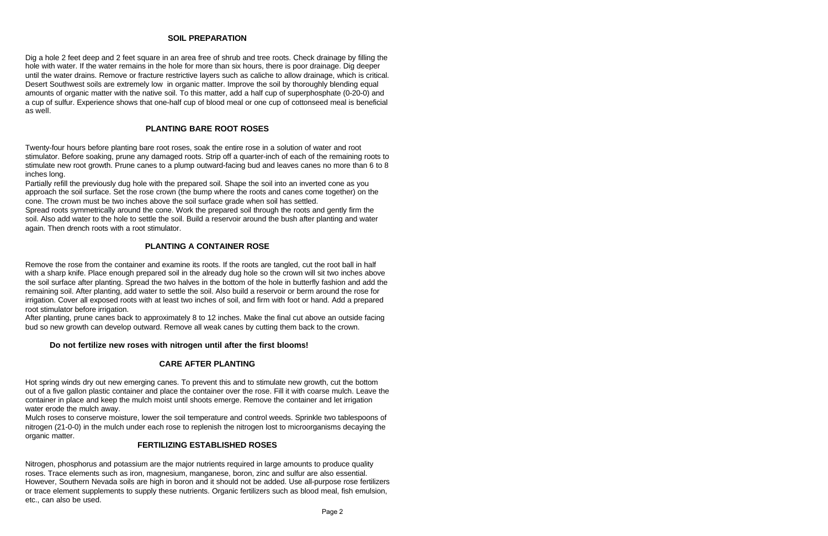#### **SOIL PREPARATION**

Dig a hole 2 feet deep and 2 feet square in an area free of shrub and tree roots. Check drainage by filling the hole with water. If the water remains in the hole for more than six hours, there is poor drainage. Dig deeper until the water drains. Remove or fracture restrictive layers such as caliche to allow drainage, which is critical. Desert Southwest soils are extremely low in organic matter. Improve the soil by thoroughly blending equal amounts of organic matter with the native soil. To this matter, add a half cup of superphosphate (0-20-0) and a cup of sulfur. Experience shows that one-half cup of blood meal or one cup of cottonseed meal is beneficial as well.

### **PLANTING BARE ROOT ROSES**

Twenty-four hours before planting bare root roses, soak the entire rose in a solution of water and root stimulator. Before soaking, prune any damaged roots. Strip off a quarter-inch of each of the remaining roots to stimulate new root growth. Prune canes to a plump outward-facing bud and leaves canes no more than 6 to 8 inches long.

Partially refill the previously dug hole with the prepared soil. Shape the soil into an inverted cone as you approach the soil surface. Set the rose crown (the bump where the roots and canes come together) on the cone. The crown must be two inches above the soil surface grade when soil has settled.

Spread roots symmetrically around the cone. Work the prepared soil through the roots and gently firm the soil. Also add water to the hole to settle the soil. Build a reservoir around the bush after planting and water again. Then drench roots with a root stimulator.

#### **PLANTING A CONTAINER ROSE**

Remove the rose from the container and examine its roots. If the roots are tangled, cut the root ball in half with a sharp knife. Place enough prepared soil in the already dug hole so the crown will sit two inches above the soil surface after planting. Spread the two halves in the bottom of the hole in butterfly fashion and add the remaining soil. After planting, add water to settle the soil. Also build a reservoir or berm around the rose for irrigation. Cover all exposed roots with at least two inches of soil, and firm with foot or hand. Add a prepared root stimulator before irrigation.

After planting, prune canes back to approximately 8 to 12 inches. Make the final cut above an outside facing bud so new growth can develop outward. Remove all weak canes by cutting them back to the crown.

#### **Do not fertilize new roses with nitrogen until after the first blooms!**

#### **CARE AFTER PLANTING**

Hot spring winds dry out new emerging canes. To prevent this and to stimulate new growth, cut the bottom out of a five gallon plastic container and place the container over the rose. Fill it with coarse mulch. Leave the container in place and keep the mulch moist until shoots emerge. Remove the container and let irrigation water erode the mulch away.

Mulch roses to conserve moisture, lower the soil temperature and control weeds. Sprinkle two tablespoons of nitrogen (21-0-0) in the mulch under each rose to replenish the nitrogen lost to microorganisms decaying the organic matter.

#### **FERTILIZING ESTABLISHED ROSES**

Nitrogen, phosphorus and potassium are the major nutrients required in large amounts to produce quality roses. Trace elements such as iron, magnesium, manganese, boron, zinc and sulfur are also essential. However, Southern Nevada soils are high in boron and it should not be added. Use all-purpose rose fertilizers or trace element supplements to supply these nutrients. Organic fertilizers such as blood meal, fish emulsion, etc., can also be used.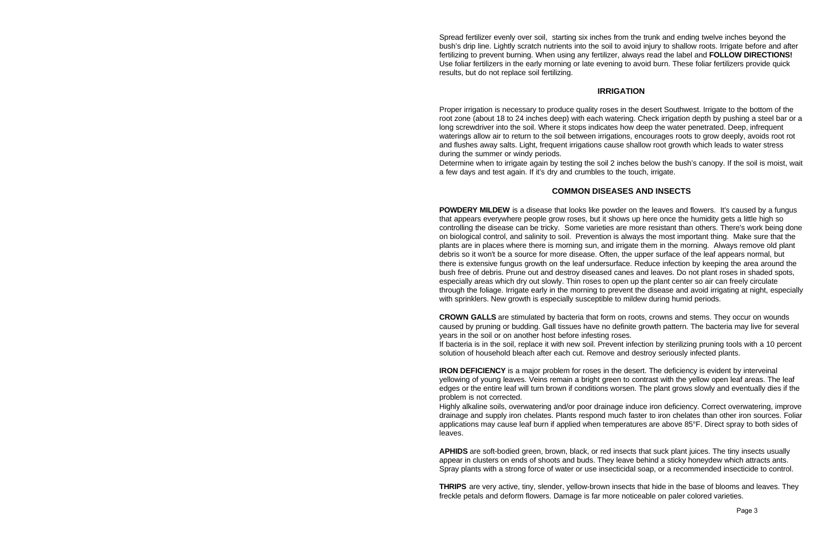Spread fertilizer evenly over soil, starting six inches from the trunk and ending twelve inches beyond the bush's drip line. Lightly scratch nutrients into the soil to avoid injury to shallow roots. Irrigate before and after fertilizing to prevent burning. When using any fertilizer, always read the label and **FOLLOW DIRECTIONS!**  Use foliar fertilizers in the early morning or late evening to avoid burn. These foliar fertilizers provide quick results, but do not replace soil fertilizing.

#### **IRRIGATION**

Proper irrigation is necessary to produce quality roses in the desert Southwest. Irrigate to the bottom of the root zone (about 18 to 24 inches deep) with each watering. Check irrigation depth by pushing a steel bar or a long screwdriver into the soil. Where it stops indicates how deep the water penetrated. Deep, infrequent waterings allow air to return to the soil between irrigations, encourages roots to grow deeply, avoids root rot and flushes away salts. Light, frequent irrigations cause shallow root growth which leads to water stress during the summer or windy periods.

Determine when to irrigate again by testing the soil 2 inches below the bush's canopy. If the soil is moist, wait a few days and test again. If it's dry and crumbles to the touch, irrigate.

#### **COMMON DISEASES AND INSECTS**

**POWDERY MILDEW** is a disease that looks like powder on the leaves and flowers. It's caused by a fungus that appears everywhere people grow roses, but it shows up here once the humidity gets a little high so controlling the disease can be tricky. Some varieties are more resistant than others. There's work being done on biological control, and salinity to soil. Prevention is always the most important thing. Make sure that the plants are in places where there is morning sun, and irrigate them in the morning. Always remove old plant debris so it won't be a source for more disease. Often, the upper surface of the leaf appears normal, but there is extensive fungus growth on the leaf undersurface. Reduce infection by keeping the area around the bush free of debris. Prune out and destroy diseased canes and leaves. Do not plant roses in shaded spots, especially areas which dry out slowly. Thin roses to open up the plant center so air can freely circulate through the foliage. Irrigate early in the morning to prevent the disease and avoid irrigating at night, especially with sprinklers. New growth is especially susceptible to mildew during humid periods.

**CROWN GALLS** are stimulated by bacteria that form on roots, crowns and stems. They occur on wounds caused by pruning or budding. Gall tissues have no definite growth pattern. The bacteria may live for several years in the soil or on another host before infesting roses.

If bacteria is in the soil, replace it with new soil. Prevent infection by sterilizing pruning tools with a 10 percent solution of household bleach after each cut. Remove and destroy seriously infected plants.

**IRON DEFICIENCY** is a major problem for roses in the desert. The deficiency is evident by interveinal yellowing of young leaves. Veins remain a bright green to contrast with the yellow open leaf areas. The leaf edges or the entire leaf will turn brown if conditions worsen. The plant grows slowly and eventually dies if the problem is not corrected.

Highly alkaline soils, overwatering and/or poor drainage induce iron deficiency. Correct overwatering, improve drainage and supply iron chelates. Plants respond much faster to iron chelates than other iron sources. Foliar applications may cause leaf burn if applied when temperatures are above 85°F. Direct spray to both sides of leaves.

**APHIDS** are soft-bodied green, brown, black, or red insects that suck plant juices. The tiny insects usually appear in clusters on ends of shoots and buds. They leave behind a sticky honeydew which attracts ants. Spray plants with a strong force of water or use insecticidal soap, or a recommended insecticide to control.

**THRIPS** are very active, tiny, slender, yellow-brown insects that hide in the base of blooms and leaves. They freckle petals and deform flowers. Damage is far more noticeable on paler colored varieties.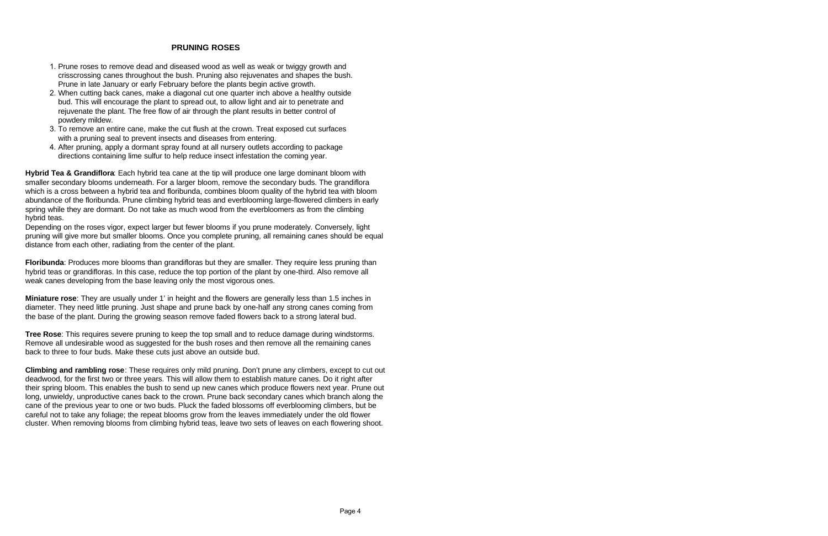#### **PRUNING ROSES**

- 1. Prune roses to remove dead and diseased wood as well as weak or twiggy growth and crisscrossing canes throughout the bush. Pruning also rejuvenates and shapes the bush. Prune in late January or early February before the plants begin active growth.
- 2. When cutting back canes, make a diagonal cut one quarter inch above a healthy outside bud. This will encourage the plant to spread out, to allow light and air to penetrate and rejuvenate the plant. The free flow of air through the plant results in better control of powdery mildew.
- 3. To remove an entire cane, make the cut flush at the crown. Treat exposed cut surfaces with a pruning seal to prevent insects and diseases from entering.
- 4. After pruning, apply a dormant spray found at all nursery outlets according to package directions containing lime sulfur to help reduce insect infestation the coming year.

**Hybrid Tea & Grandiflora**: Each hybrid tea cane at the tip will produce one large dominant bloom with smaller secondary blooms underneath. For a larger bloom, remove the secondary buds. The grandiflora which is a cross between a hybrid tea and floribunda, combines bloom quality of the hybrid tea with bloom abundance of the floribunda. Prune climbing hybrid teas and everblooming large-flowered climbers in early spring while they are dormant. Do not take as much wood from the everbloomers as from the climbing hybrid teas.

Depending on the roses vigor, expect larger but fewer blooms if you prune moderately. Conversely, light pruning will give more but smaller blooms. Once you complete pruning, all remaining canes should be equal distance from each other, radiating from the center of the plant.

**Floribunda**: Produces more blooms than grandifloras but they are smaller. They require less pruning than hybrid teas or grandifloras. In this case, reduce the top portion of the plant by one-third. Also remove all weak canes developing from the base leaving only the most vigorous ones.

**Miniature rose**: They are usually under 1' in height and the flowers are generally less than 1.5 inches in diameter. They need little pruning. Just shape and prune back by one-half any strong canes coming from the base of the plant. During the growing season remove faded flowers back to a strong lateral bud.

**Tree Rose**: This requires severe pruning to keep the top small and to reduce damage during windstorms. Remove all undesirable wood as suggested for the bush roses and then remove all the remaining canes back to three to four buds. Make these cuts just above an outside bud.

**Climbing and rambling rose**: These requires only mild pruning. Don't prune any climbers, except to cut out deadwood, for the first two or three years. This will allow them to establish mature canes. Do it right after their spring bloom. This enables the bush to send up new canes which produce flowers next year. Prune out long, unwieldy, unproductive canes back to the crown. Prune back secondary canes which branch along the cane of the previous year to one or two buds. Pluck the faded blossoms off everblooming climbers, but be careful not to take any foliage; the repeat blooms grow from the leaves immediately under the old flower cluster. When removing blooms from climbing hybrid teas, leave two sets of leaves on each flowering shoot.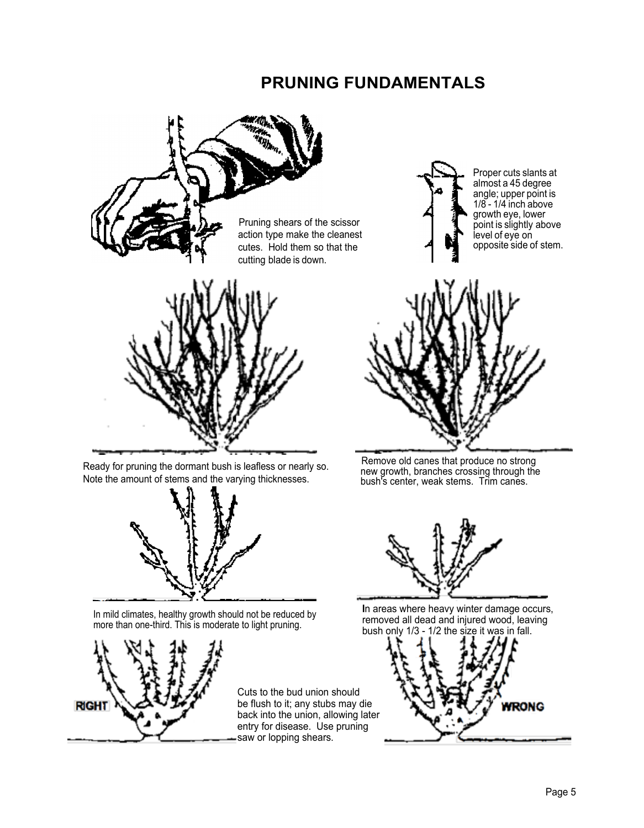# **PRUNING FUNDAMENTALS**





In mild climates, healthy growth should not be reduced by more than one-third. This is moderate to light pruning.



Cuts to the bud union should be flush to it; any stubs may die back into the union, allowing later entry for disease. Use pruning saw or lopping shears.





**I**n areas where heavy winter damage occurs, removed all dead and injured wood, leaving bush only 1/3 - 1/2 the size it was in fall.

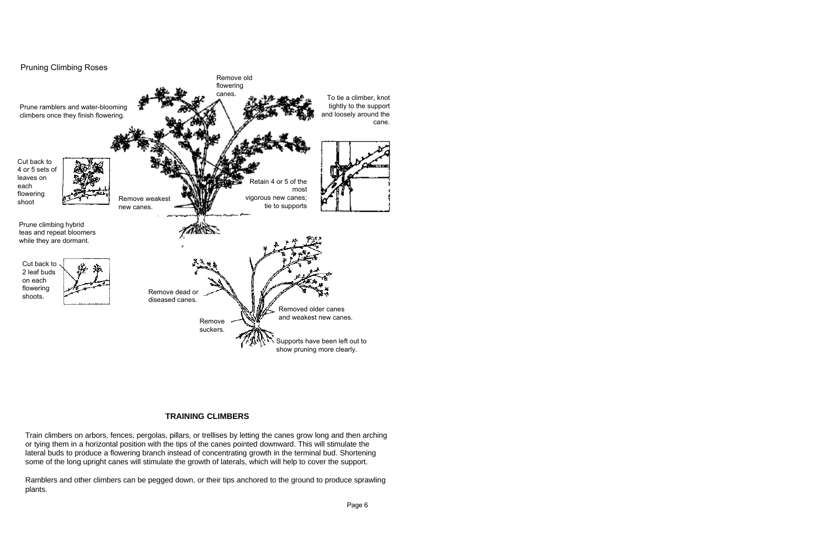

## **TRAINING CLIMBERS**

Train climbers on arbors, fences, pergolas, pillars, or trellises by letting the canes grow long and then arching or tying them in a horizontal position with the tips of the canes pointed downward. This will stimulate the lateral buds to produce a flowering branch instead of concentrating growth in the terminal bud. Shortening some of the long upright canes will stimulate the growth of laterals, which will help to cover the support.

Ramblers and other climbers can be pegged down, or their tips anchored to the ground to produce sprawling plants.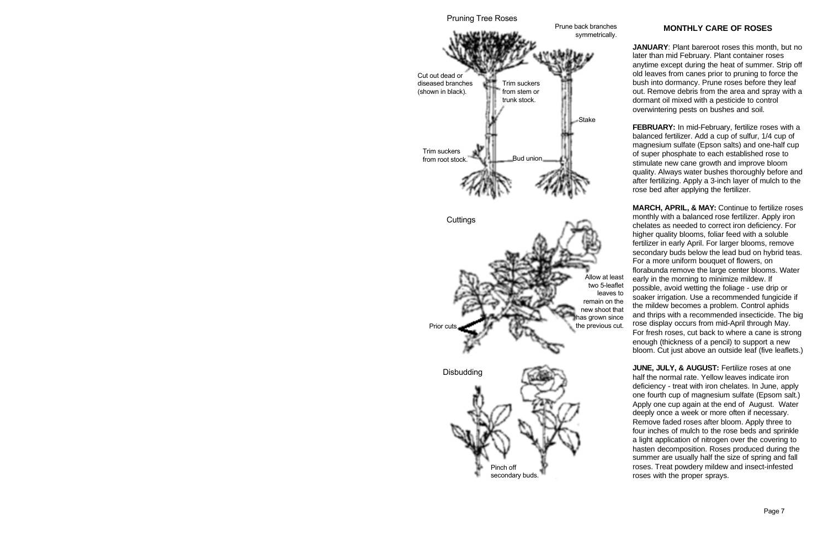

#### **MONTHLY CARE OF ROSES**

**JANUARY**: Plant bareroot roses this month, but no later than mid February. Plant container roses anytime except during the heat of summer. Strip off old leaves from canes prior to pruning to force the bush into dormancy. Prune roses before they leaf out. Remove debris from the area and spray with a dormant oil mixed with a pesticide to control overwintering pests on bushes and soil.

**FEBRUARY:** In mid-February, fertilize roses with a balanced fertilizer. Add a cup of sulfur, 1/4 cup of magnesium sulfate (Epson salts) and one-half cup of super phosphate to each established rose to stimulate new cane growth and improve bloom quality. Always water bushes thoroughly before and after fertilizing. Apply a 3-inch layer of mulch to the rose bed after applying the fertilizer.

**MARCH, APRIL, & MAY:** Continue to fertilize roses monthly with a balanced rose fertilizer. Apply iron chelates as needed to correct iron deficiency. For higher quality blooms, foliar feed with a soluble fertilizer in early April. For larger blooms, remove secondary buds below the lead bud on hybrid teas. For a more uniform bouquet of flowers, on florabunda remove the large center blooms. Water early in the morning to minimize mildew. If possible, avoid wetting the foliage - use drip or soaker irrigation. Use a recommended fungicide if the mildew becomes a problem. Control aphids and thrips with a recommended insecticide. The big rose display occurs from mid-April through May. For fresh roses, cut back to where a cane is strong enough (thickness of a pencil) to support a new bloom. Cut just above an outside leaf (five leaflets.)

**JUNE, JULY, & AUGUST: Fertilize roses at one** half the normal rate. Yellow leaves indicate iron deficiency - treat with iron chelates. In June, apply one fourth cup of magnesium sulfate (Epsom salt.) Apply one cup again at the end of August. Water deeply once a week or more often if necessary. Remove faded roses after bloom. Apply three to four inches of mulch to the rose beds and sprinkle a light application of nitrogen over the covering to hasten decomposition. Roses produced during the summer are usually half the size of spring and fall roses. Treat powdery mildew and insect-infested roses with the proper sprays.